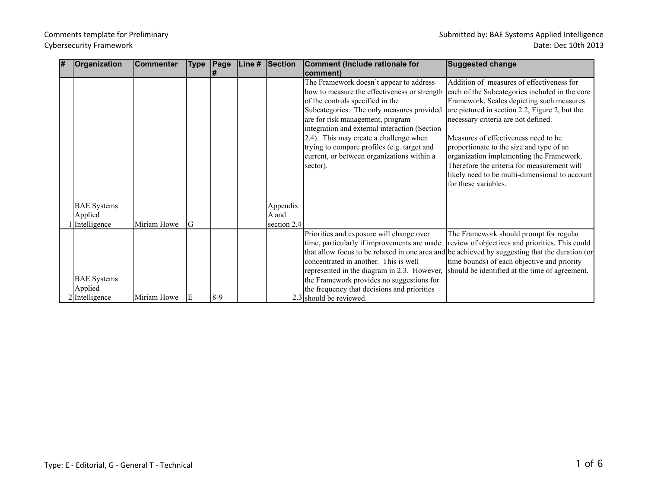| 1# | <b>Organization</b> | <b>Commenter</b> | <b>Type</b> | $\vert$ Page | Line # | Section     | Comment (Include rationale for                                                           | <b>Suggested change</b>                                                                        |
|----|---------------------|------------------|-------------|--------------|--------|-------------|------------------------------------------------------------------------------------------|------------------------------------------------------------------------------------------------|
|    |                     |                  |             | l#           |        |             | comment)                                                                                 |                                                                                                |
|    |                     |                  |             |              |        |             | The Framework doesn't appear to address                                                  | Addition of measures of effectiveness for                                                      |
|    |                     |                  |             |              |        |             | how to measure the effectiveness or strength                                             | each of the Subcategories included in the core                                                 |
|    |                     |                  |             |              |        |             | of the controls specified in the                                                         | Framework. Scales depicting such measures                                                      |
|    |                     |                  |             |              |        |             | Subcategories. The only measures provided are pictured in section 2.2, Figure 2, but the |                                                                                                |
|    |                     |                  |             |              |        |             | are for risk management, program                                                         | necessary criteria are not defined.                                                            |
|    |                     |                  |             |              |        |             | integration and external interaction (Section                                            |                                                                                                |
|    |                     |                  |             |              |        |             | 2.4). This may create a challenge when                                                   | Measures of effectiveness need to be                                                           |
|    |                     |                  |             |              |        |             | trying to compare profiles (e.g. target and                                              | proportionate to the size and type of an                                                       |
|    |                     |                  |             |              |        |             | current, or between organizations within a                                               | organization implementing the Framework.                                                       |
|    |                     |                  |             |              |        |             | sector).                                                                                 | Therefore the criteria for measurement will                                                    |
|    |                     |                  |             |              |        |             |                                                                                          | likely need to be multi-dimensional to account                                                 |
|    |                     |                  |             |              |        |             |                                                                                          | for these variables.                                                                           |
|    |                     |                  |             |              |        |             |                                                                                          |                                                                                                |
|    | <b>BAE</b> Systems  |                  |             |              |        | Appendix    |                                                                                          |                                                                                                |
|    | Applied             |                  |             |              |        | A and       |                                                                                          |                                                                                                |
|    | Intelligence        | Miriam Howe      | G           |              |        | section 2.4 |                                                                                          |                                                                                                |
|    |                     |                  |             |              |        |             | Priorities and exposure will change over                                                 | The Framework should prompt for regular                                                        |
|    |                     |                  |             |              |        |             | time, particularly if improvements are made                                              | review of objectives and priorities. This could                                                |
|    |                     |                  |             |              |        |             |                                                                                          | that allow focus to be relaxed in one area and be achieved by suggesting that the duration (or |
|    |                     |                  |             |              |        |             | concentrated in another. This is well                                                    | time bounds) of each objective and priority                                                    |
|    |                     |                  |             |              |        |             |                                                                                          | represented in the diagram in 2.3. However, should be identified at the time of agreement.     |
|    | <b>BAE</b> Systems  |                  |             |              |        |             | the Framework provides no suggestions for                                                |                                                                                                |
|    | Applied             |                  |             |              |        |             | the frequency that decisions and priorities                                              |                                                                                                |
|    | 2 Intelligence      | Miriam Howe      |             | $8-9$        |        |             | 2.3 should be reviewed.                                                                  |                                                                                                |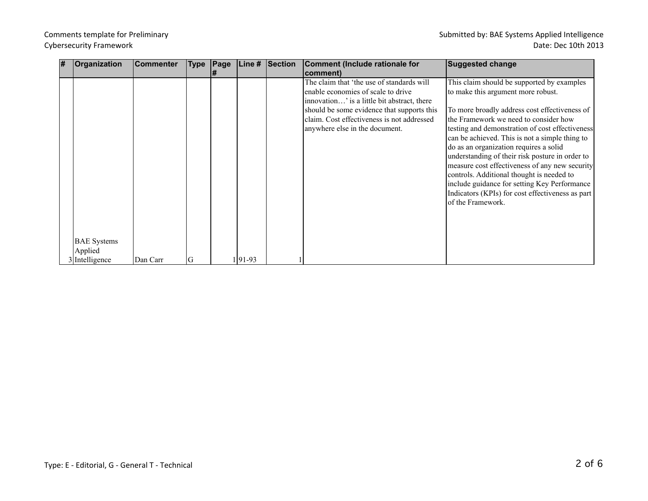| # | Organization                  | <b>Commenter</b> | Type | $\vert$ Page | Line #   | Section | Comment (Include rationale for                                                                                                                                                                                                                               | <b>Suggested change</b>                                                                                                                                                                                                                                                                                                                                                                                                                                                                                                                                                                              |
|---|-------------------------------|------------------|------|--------------|----------|---------|--------------------------------------------------------------------------------------------------------------------------------------------------------------------------------------------------------------------------------------------------------------|------------------------------------------------------------------------------------------------------------------------------------------------------------------------------------------------------------------------------------------------------------------------------------------------------------------------------------------------------------------------------------------------------------------------------------------------------------------------------------------------------------------------------------------------------------------------------------------------------|
|   |                               |                  |      |              |          |         | comment)                                                                                                                                                                                                                                                     |                                                                                                                                                                                                                                                                                                                                                                                                                                                                                                                                                                                                      |
|   | <b>BAE</b> Systems<br>Applied |                  |      |              |          |         | The claim that 'the use of standards will<br>enable economies of scale to drive<br>innovation' is a little bit abstract, there<br>should be some evidence that supports this<br>claim. Cost effectiveness is not addressed<br>anywhere else in the document. | This claim should be supported by examples<br>to make this argument more robust.<br>To more broadly address cost effectiveness of<br>the Framework we need to consider how<br>testing and demonstration of cost effectiveness<br>can be achieved. This is not a simple thing to<br>do as an organization requires a solid<br>understanding of their risk posture in order to<br>measure cost effectiveness of any new security<br>controls. Additional thought is needed to<br>include guidance for setting Key Performance<br>Indicators (KPIs) for cost effectiveness as part<br>of the Framework. |
|   | 3 Intelligence                | Dan Carr         | G    |              | $ 91-93$ |         |                                                                                                                                                                                                                                                              |                                                                                                                                                                                                                                                                                                                                                                                                                                                                                                                                                                                                      |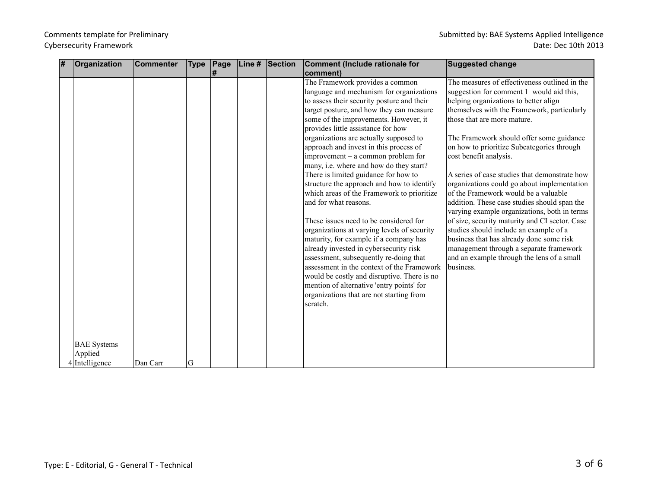| # | Organization       | <b>Commenter</b> | <b>Type</b> | Page | Line $\overline{H}$ | Section | Comment (Include rationale for              | <b>Suggested change</b>                        |
|---|--------------------|------------------|-------------|------|---------------------|---------|---------------------------------------------|------------------------------------------------|
|   |                    |                  |             | l#   |                     |         | comment)                                    |                                                |
|   |                    |                  |             |      |                     |         | The Framework provides a common             | The measures of effectiveness outlined in the  |
|   |                    |                  |             |      |                     |         | language and mechanism for organizations    | suggestion for comment 1 would aid this,       |
|   |                    |                  |             |      |                     |         | to assess their security posture and their  | helping organizations to better align          |
|   |                    |                  |             |      |                     |         | target posture, and how they can measure    | themselves with the Framework, particularly    |
|   |                    |                  |             |      |                     |         | some of the improvements. However, it       | those that are more mature.                    |
|   |                    |                  |             |      |                     |         | provides little assistance for how          |                                                |
|   |                    |                  |             |      |                     |         | organizations are actually supposed to      | The Framework should offer some guidance       |
|   |                    |                  |             |      |                     |         | approach and invest in this process of      | on how to prioritize Subcategories through     |
|   |                    |                  |             |      |                     |         | improvement $-$ a common problem for        | cost benefit analysis.                         |
|   |                    |                  |             |      |                     |         | many, i.e. where and how do they start?     |                                                |
|   |                    |                  |             |      |                     |         | There is limited guidance for how to        | A series of case studies that demonstrate how  |
|   |                    |                  |             |      |                     |         | structure the approach and how to identify  | organizations could go about implementation    |
|   |                    |                  |             |      |                     |         | which areas of the Framework to prioritize  | of the Framework would be a valuable           |
|   |                    |                  |             |      |                     |         | and for what reasons.                       | addition. These case studies should span the   |
|   |                    |                  |             |      |                     |         |                                             | varying example organizations, both in terms   |
|   |                    |                  |             |      |                     |         | These issues need to be considered for      | of size, security maturity and CI sector. Case |
|   |                    |                  |             |      |                     |         | organizations at varying levels of security | studies should include an example of a         |
|   |                    |                  |             |      |                     |         | maturity, for example if a company has      | business that has already done some risk       |
|   |                    |                  |             |      |                     |         | already invested in cybersecurity risk      | management through a separate framework        |
|   |                    |                  |             |      |                     |         | assessment, subsequently re-doing that      | and an example through the lens of a small     |
|   |                    |                  |             |      |                     |         | assessment in the context of the Framework  | business.                                      |
|   |                    |                  |             |      |                     |         | would be costly and disruptive. There is no |                                                |
|   |                    |                  |             |      |                     |         | mention of alternative 'entry points' for   |                                                |
|   |                    |                  |             |      |                     |         | organizations that are not starting from    |                                                |
|   |                    |                  |             |      |                     |         | scratch.                                    |                                                |
|   |                    |                  |             |      |                     |         |                                             |                                                |
|   |                    |                  |             |      |                     |         |                                             |                                                |
|   |                    |                  |             |      |                     |         |                                             |                                                |
|   | <b>BAE</b> Systems |                  |             |      |                     |         |                                             |                                                |
|   | Applied            |                  |             |      |                     |         |                                             |                                                |
|   | 4 Intelligence     | Dan Carr         | G           |      |                     |         |                                             |                                                |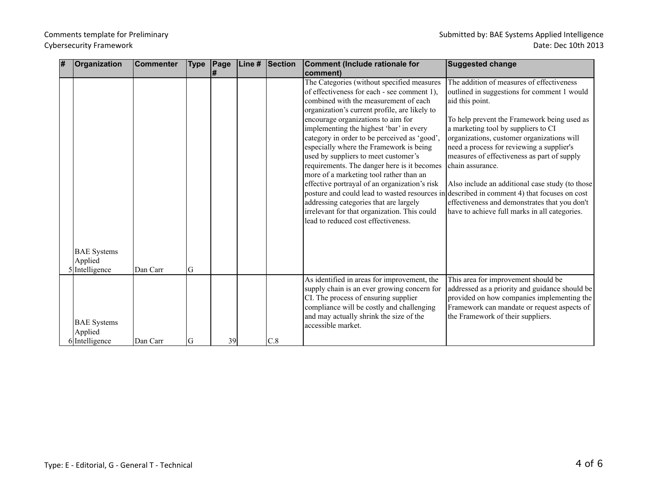| # | Organization                                    | Commenter | <b>Type</b> | Page | Line $#$ Section | Comment (Include rationale for                                                                                                                                                                                                                                                                                                                                                                                                                                                                                                                                                                                                                                                      | <b>Suggested change</b>                                                                                                                                                                                                                                                                                                                                                                                                                                                                                                                                                                                            |
|---|-------------------------------------------------|-----------|-------------|------|------------------|-------------------------------------------------------------------------------------------------------------------------------------------------------------------------------------------------------------------------------------------------------------------------------------------------------------------------------------------------------------------------------------------------------------------------------------------------------------------------------------------------------------------------------------------------------------------------------------------------------------------------------------------------------------------------------------|--------------------------------------------------------------------------------------------------------------------------------------------------------------------------------------------------------------------------------------------------------------------------------------------------------------------------------------------------------------------------------------------------------------------------------------------------------------------------------------------------------------------------------------------------------------------------------------------------------------------|
|   |                                                 |           |             | l#   |                  | comment)                                                                                                                                                                                                                                                                                                                                                                                                                                                                                                                                                                                                                                                                            |                                                                                                                                                                                                                                                                                                                                                                                                                                                                                                                                                                                                                    |
|   |                                                 |           |             |      |                  | The Categories (without specified measures<br>of effectiveness for each - see comment 1),<br>combined with the measurement of each<br>organization's current profile, are likely to<br>encourage organizations to aim for<br>implementing the highest 'bar' in every<br>category in order to be perceived as 'good',<br>especially where the Framework is being<br>used by suppliers to meet customer's<br>requirements. The danger here is it becomes<br>more of a marketing tool rather than an<br>effective portrayal of an organization's risk<br>addressing categories that are largely<br>irrelevant for that organization. This could<br>lead to reduced cost effectiveness. | The addition of measures of effectiveness<br>outlined in suggestions for comment 1 would<br>aid this point.<br>To help prevent the Framework being used as<br>a marketing tool by suppliers to CI<br>organizations, customer organizations will<br>need a process for reviewing a supplier's<br>measures of effectiveness as part of supply<br>chain assurance.<br>Also include an additional case study (to those<br>posture and could lead to wasted resources in described in comment 4) that focuses on cost<br>effectiveness and demonstrates that you don't<br>have to achieve full marks in all categories. |
|   | <b>BAE</b> Systems<br>Applied<br>5 Intelligence | Dan Carr  | lG          |      |                  |                                                                                                                                                                                                                                                                                                                                                                                                                                                                                                                                                                                                                                                                                     |                                                                                                                                                                                                                                                                                                                                                                                                                                                                                                                                                                                                                    |
|   | <b>BAE</b> Systems<br>Applied<br>6 Intelligence | Dan Carr  | lG          | 39   | C.8              | As identified in areas for improvement, the<br>supply chain is an ever growing concern for<br>CI. The process of ensuring supplier<br>compliance will be costly and challenging<br>and may actually shrink the size of the<br>accessible market.                                                                                                                                                                                                                                                                                                                                                                                                                                    | This area for improvement should be<br>addressed as a priority and guidance should be<br>provided on how companies implementing the<br>Framework can mandate or request aspects of<br>the Framework of their suppliers.                                                                                                                                                                                                                                                                                                                                                                                            |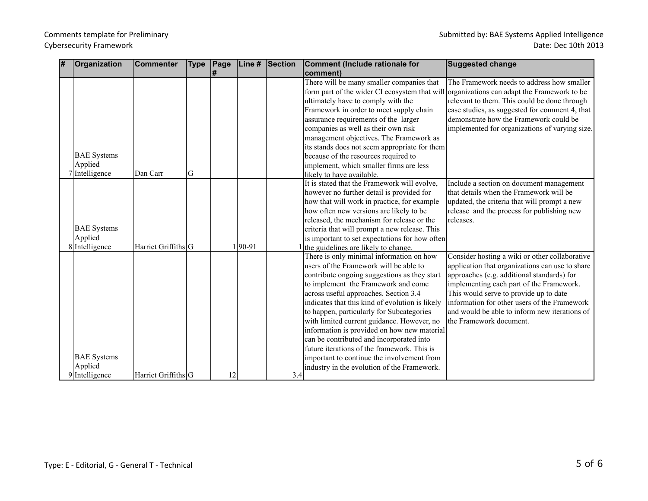| # | Organization       | <b>Commenter</b>    | <b>Type</b> | Page | Line #     | Section | Comment (Include rationale for                                                            | <b>Suggested change</b>                         |
|---|--------------------|---------------------|-------------|------|------------|---------|-------------------------------------------------------------------------------------------|-------------------------------------------------|
|   |                    |                     |             | l#   |            |         | comment)                                                                                  |                                                 |
|   |                    |                     |             |      |            |         | There will be many smaller companies that                                                 | The Framework needs to address how smaller      |
|   |                    |                     |             |      |            |         | form part of the wider CI ecosystem that will organizations can adapt the Framework to be |                                                 |
|   |                    |                     |             |      |            |         | ultimately have to comply with the                                                        | relevant to them. This could be done through    |
|   |                    |                     |             |      |            |         | Framework in order to meet supply chain                                                   | case studies, as suggested for comment 4, that  |
|   |                    |                     |             |      |            |         | assurance requirements of the larger                                                      | demonstrate how the Framework could be          |
|   |                    |                     |             |      |            |         | companies as well as their own risk                                                       | implemented for organizations of varying size.  |
|   |                    |                     |             |      |            |         | management objectives. The Framework as                                                   |                                                 |
|   |                    |                     |             |      |            |         | its stands does not seem appropriate for them                                             |                                                 |
|   | <b>BAE</b> Systems |                     |             |      |            |         | because of the resources required to                                                      |                                                 |
|   | Applied            |                     |             |      |            |         | implement, which smaller firms are less                                                   |                                                 |
|   | 7 Intelligence     | Dan Carr            | G           |      |            |         | likely to have available.                                                                 |                                                 |
|   |                    |                     |             |      |            |         | It is stated that the Framework will evolve,                                              | Include a section on document management        |
|   |                    |                     |             |      |            |         | however no further detail is provided for                                                 | that details when the Framework will be         |
|   |                    |                     |             |      |            |         | how that will work in practice, for example                                               | updated, the criteria that will prompt a new    |
|   |                    |                     |             |      |            |         | how often new versions are likely to be                                                   | release and the process for publishing new      |
|   |                    |                     |             |      |            |         | released, the mechanism for release or the                                                | releases.                                       |
|   | <b>BAE</b> Systems |                     |             |      |            |         | criteria that will prompt a new release. This                                             |                                                 |
|   | Applied            |                     |             |      |            |         | is important to set expectations for how often                                            |                                                 |
|   | 8 Intelligence     | Harriet Griffiths G |             |      | $190 - 91$ |         | the guidelines are likely to change.                                                      |                                                 |
|   |                    |                     |             |      |            |         | There is only minimal information on how                                                  | Consider hosting a wiki or other collaborative  |
|   |                    |                     |             |      |            |         | users of the Framework will be able to                                                    | application that organizations can use to share |
|   |                    |                     |             |      |            |         | contribute ongoing suggestions as they start                                              | approaches (e.g. additional standards) for      |
|   |                    |                     |             |      |            |         | to implement the Framework and come                                                       | implementing each part of the Framework.        |
|   |                    |                     |             |      |            |         | across useful approaches. Section 3.4                                                     | This would serve to provide up to date          |
|   |                    |                     |             |      |            |         | indicates that this kind of evolution is likely                                           | information for other users of the Framework    |
|   |                    |                     |             |      |            |         | to happen, particularly for Subcategories                                                 | and would be able to inform new iterations of   |
|   |                    |                     |             |      |            |         | with limited current guidance. However, no                                                | the Framework document.                         |
|   |                    |                     |             |      |            |         | information is provided on how new material                                               |                                                 |
|   |                    |                     |             |      |            |         | can be contributed and incorporated into                                                  |                                                 |
|   |                    |                     |             |      |            |         | future iterations of the framework. This is                                               |                                                 |
|   | <b>BAE</b> Systems |                     |             |      |            |         | important to continue the involvement from                                                |                                                 |
|   | Applied            |                     |             |      |            |         | industry in the evolution of the Framework.                                               |                                                 |
|   | 9 Intelligence     | Harriet Griffiths G |             | 12   |            | 3.4     |                                                                                           |                                                 |